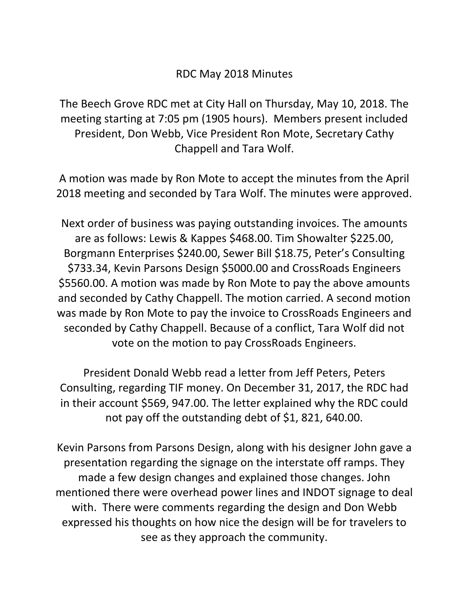## RDC May 2018 Minutes

The Beech Grove RDC met at City Hall on Thursday, May 10, 2018. The meeting starting at 7:05 pm (1905 hours). Members present included President, Don Webb, Vice President Ron Mote, Secretary Cathy Chappell and Tara Wolf.

A motion was made by Ron Mote to accept the minutes from the April 2018 meeting and seconded by Tara Wolf. The minutes were approved.

Next order of business was paying outstanding invoices. The amounts are as follows: Lewis & Kappes \$468.00. Tim Showalter \$225.00, Borgmann Enterprises \$240.00, Sewer Bill \$18.75, Peter's Consulting \$733.34, Kevin Parsons Design \$5000.00 and CrossRoads Engineers \$5560.00. A motion was made by Ron Mote to pay the above amounts and seconded by Cathy Chappell. The motion carried. A second motion was made by Ron Mote to pay the invoice to CrossRoads Engineers and seconded by Cathy Chappell. Because of a conflict, Tara Wolf did not vote on the motion to pay CrossRoads Engineers.

President Donald Webb read a letter from Jeff Peters, Peters Consulting, regarding TIF money. On December 31, 2017, the RDC had in their account \$569, 947.00. The letter explained why the RDC could not pay off the outstanding debt of \$1, 821, 640.00.

Kevin Parsons from Parsons Design, along with his designer John gave a presentation regarding the signage on the interstate off ramps. They made a few design changes and explained those changes. John mentioned there were overhead power lines and INDOT signage to deal with. There were comments regarding the design and Don Webb expressed his thoughts on how nice the design will be for travelers to see as they approach the community.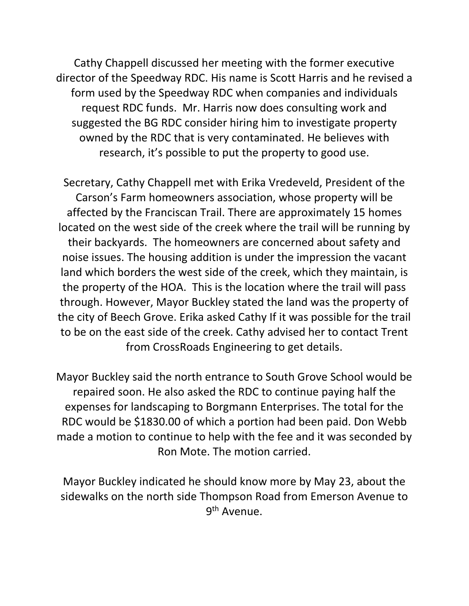Cathy Chappell discussed her meeting with the former executive director of the Speedway RDC. His name is Scott Harris and he revised a form used by the Speedway RDC when companies and individuals request RDC funds. Mr. Harris now does consulting work and suggested the BG RDC consider hiring him to investigate property owned by the RDC that is very contaminated. He believes with research, it's possible to put the property to good use.

Secretary, Cathy Chappell met with Erika Vredeveld, President of the Carson's Farm homeowners association, whose property will be affected by the Franciscan Trail. There are approximately 15 homes located on the west side of the creek where the trail will be running by their backyards. The homeowners are concerned about safety and noise issues. The housing addition is under the impression the vacant land which borders the west side of the creek, which they maintain, is the property of the HOA. This is the location where the trail will pass through. However, Mayor Buckley stated the land was the property of the city of Beech Grove. Erika asked Cathy If it was possible for the trail to be on the east side of the creek. Cathy advised her to contact Trent from CrossRoads Engineering to get details.

Mayor Buckley said the north entrance to South Grove School would be repaired soon. He also asked the RDC to continue paying half the expenses for landscaping to Borgmann Enterprises. The total for the RDC would be \$1830.00 of which a portion had been paid. Don Webb made a motion to continue to help with the fee and it was seconded by Ron Mote. The motion carried.

Mayor Buckley indicated he should know more by May 23, about the sidewalks on the north side Thompson Road from Emerson Avenue to 9<sup>th</sup> Avenue.